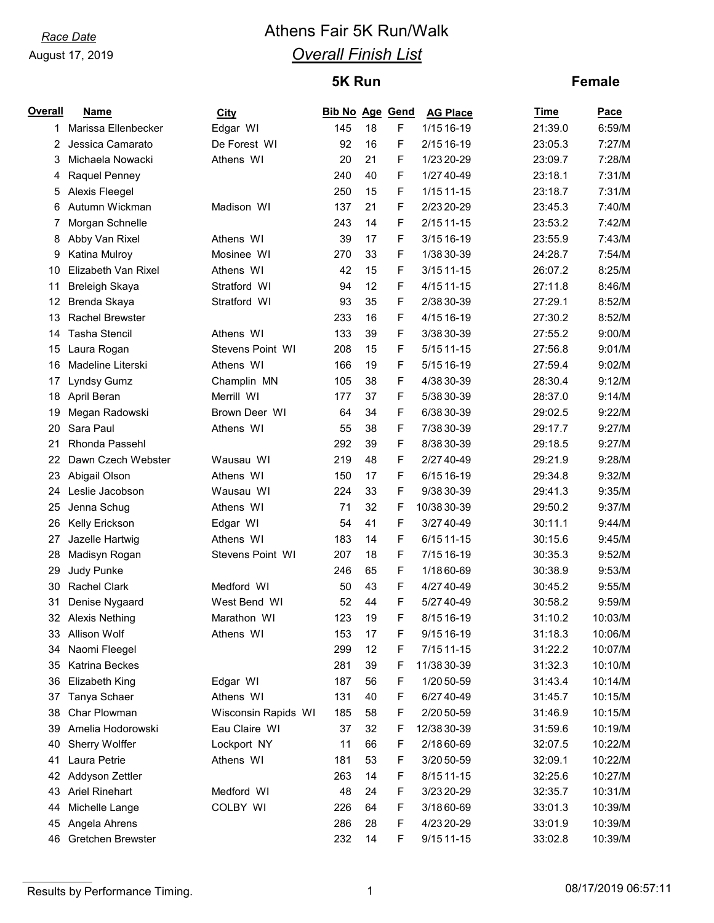# *Race Date* **Athens Fair 5K Run/Walk** *Overall Finish List*

## **5K Run**

#### **Female**

| <b>Overall</b> | <b>Name</b>           | <b>City</b>         | <b>Bib No Age Gend</b> |    |   | <b>AG Place</b> | Time    | Pace    |
|----------------|-----------------------|---------------------|------------------------|----|---|-----------------|---------|---------|
| 1.             | Marissa Ellenbecker   | Edgar WI            | 145                    | 18 | F | 1/15 16-19      | 21:39.0 | 6:59/M  |
| 2              | Jessica Camarato      | De Forest WI        | 92                     | 16 | F | 2/15 16-19      | 23:05.3 | 7:27/M  |
| 3              | Michaela Nowacki      | Athens WI           | 20                     | 21 | F | 1/23 20-29      | 23:09.7 | 7:28/M  |
| 4              | Raquel Penney         |                     | 240                    | 40 | F | 1/27 40-49      | 23:18.1 | 7:31/M  |
| 5              | Alexis Fleegel        |                     | 250                    | 15 | F | 1/15 11-15      | 23:18.7 | 7:31/M  |
| 6              | Autumn Wickman        | Madison WI          | 137                    | 21 | F | 2/23 20-29      | 23:45.3 | 7:40/M  |
| 7              | Morgan Schnelle       |                     | 243                    | 14 | F | $2/1511-15$     | 23:53.2 | 7:42/M  |
| 8              | Abby Van Rixel        | Athens WI           | 39                     | 17 | F | 3/15 16-19      | 23:55.9 | 7:43/M  |
| 9              | Katina Mulroy         | Mosinee WI          | 270                    | 33 | F | 1/38 30-39      | 24:28.7 | 7:54/M  |
| 10             | Elizabeth Van Rixel   | Athens WI           | 42                     | 15 | F | 3/15 11-15      | 26:07.2 | 8:25/M  |
| 11             | Breleigh Skaya        | Stratford WI        | 94                     | 12 | F | 4/15 11-15      | 27:11.8 | 8:46/M  |
| 12             | Brenda Skaya          | Stratford WI        | 93                     | 35 | F | 2/38 30-39      | 27:29.1 | 8:52/M  |
| 13             | Rachel Brewster       |                     | 233                    | 16 | F | 4/15 16-19      | 27:30.2 | 8:52/M  |
| 14             | <b>Tasha Stencil</b>  | Athens WI           | 133                    | 39 | F | 3/38 30-39      | 27:55.2 | 9:00/M  |
| 15             | Laura Rogan           | Stevens Point WI    | 208                    | 15 | F | 5/15 11-15      | 27:56.8 | 9:01/M  |
| 16             | Madeline Literski     | Athens WI           | 166                    | 19 | F | 5/15 16-19      | 27:59.4 | 9:02/M  |
| 17             | Lyndsy Gumz           | Champlin MN         | 105                    | 38 | F | 4/38 30-39      | 28:30.4 | 9:12/M  |
| 18             | April Beran           | Merrill WI          | 177                    | 37 | F | 5/38 30-39      | 28:37.0 | 9:14/M  |
| 19             | Megan Radowski        | Brown Deer WI       | 64                     | 34 | F | 6/38 30-39      | 29:02.5 | 9:22/M  |
| 20             | Sara Paul             | Athens WI           | 55                     | 38 | F | 7/38 30-39      | 29:17.7 | 9:27/M  |
| 21             | Rhonda Passehl        |                     | 292                    | 39 | F | 8/38 30-39      | 29:18.5 | 9:27/M  |
| 22             | Dawn Czech Webster    | Wausau WI           | 219                    | 48 | F | 2/27 40-49      | 29:21.9 | 9:28/M  |
| 23             | Abigail Olson         | Athens WI           | 150                    | 17 | F | 6/15 16-19      | 29:34.8 | 9:32/M  |
| 24             | Leslie Jacobson       | Wausau WI           | 224                    | 33 | F | 9/38 30-39      | 29:41.3 | 9:35/M  |
| 25             | Jenna Schug           | Athens WI           | 71                     | 32 | F | 10/38 30-39     | 29:50.2 | 9:37/M  |
| 26             | Kelly Erickson        | Edgar WI            | 54                     | 41 | F | 3/27 40-49      | 30:11.1 | 9:44/M  |
| 27             | Jazelle Hartwig       | Athens WI           | 183                    | 14 | F | 6/15 11-15      | 30:15.6 | 9:45/M  |
| 28             | Madisyn Rogan         | Stevens Point WI    | 207                    | 18 | F | 7/15 16-19      | 30:35.3 | 9:52/M  |
| 29             | Judy Punke            |                     | 246                    | 65 | F | 1/18 60-69      | 30:38.9 | 9:53/M  |
| 30             | <b>Rachel Clark</b>   | Medford WI          | 50                     | 43 | F | 4/27 40-49      | 30:45.2 | 9:55/M  |
| 31             | Denise Nygaard        | West Bend WI        | 52                     | 44 | F | 5/27 40-49      | 30:58.2 | 9:59/M  |
|                | 32 Alexis Nething     | Marathon WI         | 123                    | 19 | F | 8/15 16-19      | 31:10.2 | 10:03/M |
| 33             | Allison Wolf          | Athens WI           | 153                    | 17 | F | 9/15 16-19      | 31:18.3 | 10:06/M |
| 34             | Naomi Fleegel         |                     | 299                    | 12 | F | 7/15 11-15      | 31:22.2 | 10:07/M |
| 35             | Katrina Beckes        |                     | 281                    | 39 | F | 11/38 30-39     | 31:32.3 | 10:10/M |
| 36             | <b>Elizabeth King</b> | Edgar WI            | 187                    | 56 | F | 1/20 50-59      | 31:43.4 | 10:14/M |
| 37             | Tanya Schaer          | Athens WI           | 131                    | 40 | F | 6/27 40-49      | 31:45.7 | 10:15/M |
| 38             | Char Plowman          | Wisconsin Rapids WI | 185                    | 58 | F | 2/20 50-59      | 31:46.9 | 10:15/M |
| 39             | Amelia Hodorowski     | Eau Claire WI       | 37                     | 32 | F | 12/38 30-39     | 31:59.6 | 10:19/M |
| 40             | Sherry Wolffer        | Lockport NY         | 11                     | 66 | F | 2/18 60-69      | 32:07.5 | 10:22/M |
| 41             | Laura Petrie          | Athens WI           | 181                    | 53 | F | 3/20 50-59      | 32:09.1 | 10:22/M |
| 42             | Addyson Zettler       |                     | 263                    | 14 | F | 8/15 11-15      | 32:25.6 | 10:27/M |
| 43             | <b>Ariel Rinehart</b> | Medford WI          | 48                     | 24 | F | 3/23 20-29      | 32:35.7 | 10:31/M |
| 44             | Michelle Lange        | COLBY WI            | 226                    | 64 | F | 3/18 60-69      | 33:01.3 | 10:39/M |
| 45             | Angela Ahrens         |                     | 286                    | 28 | F | 4/23 20-29      | 33:01.9 | 10:39/M |
| 46             | Gretchen Brewster     |                     | 232                    | 14 | F | 9/15 11-15      | 33:02.8 | 10:39/M |

Results by Performance Timing. 2008/17/2019 06:57:11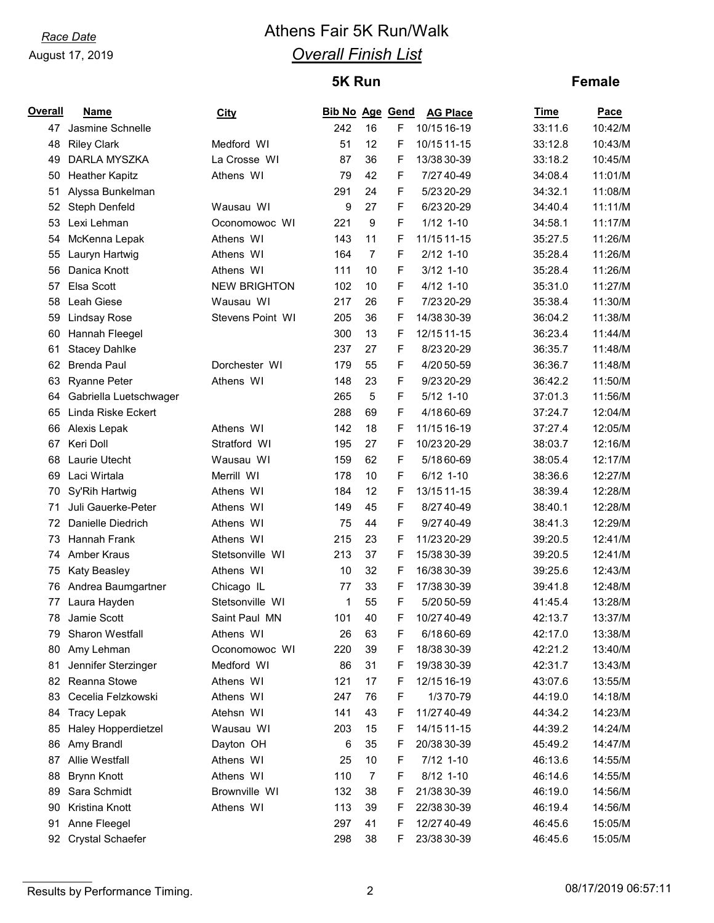# *Race Date* **Athens Fair 5K Run/Walk** *Overall Finish List*

## **5K Run**

#### **Female**

| Overall | <b>Name</b>            | <u>City</u>         | <b>Bib No Age Gend</b> |                  |   | <b>AG Place</b> | <b>Time</b> | Pace    |
|---------|------------------------|---------------------|------------------------|------------------|---|-----------------|-------------|---------|
| 47      | Jasmine Schnelle       |                     | 242                    | 16               | F | 10/15 16-19     | 33:11.6     | 10:42/M |
| 48      | <b>Riley Clark</b>     | Medford WI          | 51                     | 12               | F | 10/15 11-15     | 33:12.8     | 10:43/M |
| 49      | DARLA MYSZKA           | La Crosse WI        | 87                     | 36               | F | 13/38 30-39     | 33:18.2     | 10:45/M |
| 50      | <b>Heather Kapitz</b>  | Athens WI           | 79                     | 42               | F | 7/27 40-49      | 34:08.4     | 11:01/M |
| 51      | Alyssa Bunkelman       |                     | 291                    | 24               | F | 5/23 20-29      | 34:32.1     | 11:08/M |
| 52      | Steph Denfeld          | Wausau WI           | 9                      | 27               | F | 6/23 20-29      | 34:40.4     | 11:11/M |
| 53      | Lexi Lehman            | Oconomowoc WI       | 221                    | $\boldsymbol{9}$ | F | $1/12$ 1-10     | 34:58.1     | 11:17/M |
| 54      | McKenna Lepak          | Athens WI           | 143                    | 11               | F | 11/15 11-15     | 35:27.5     | 11:26/M |
| 55      | Lauryn Hartwig         | Athens WI           | 164                    | $\overline{7}$   | F | $2/12$ 1-10     | 35:28.4     | 11:26/M |
| 56      | Danica Knott           | Athens WI           | 111                    | 10               | F | $3/12$ 1-10     | 35:28.4     | 11:26/M |
| 57      | Elsa Scott             | <b>NEW BRIGHTON</b> | 102                    | 10               | F | $4/12$ 1-10     | 35:31.0     | 11:27/M |
| 58      | Leah Giese             | Wausau WI           | 217                    | 26               | F | 7/23 20-29      | 35:38.4     | 11:30/M |
| 59      | <b>Lindsay Rose</b>    | Stevens Point WI    | 205                    | 36               | F | 14/38 30-39     | 36:04.2     | 11:38/M |
| 60      | Hannah Fleegel         |                     | 300                    | 13               | F | 12/15 11-15     | 36:23.4     | 11:44/M |
| 61      | <b>Stacey Dahlke</b>   |                     | 237                    | 27               | F | 8/23 20-29      | 36:35.7     | 11:48/M |
| 62      | <b>Brenda Paul</b>     | Dorchester WI       | 179                    | 55               | F | 4/20 50-59      | 36:36.7     | 11:48/M |
| 63      | <b>Ryanne Peter</b>    | Athens WI           | 148                    | 23               | F | 9/23 20-29      | 36:42.2     | 11:50/M |
| 64      | Gabriella Luetschwager |                     | 265                    | 5                | F | $5/12$ 1-10     | 37:01.3     | 11:56/M |
| 65      | Linda Riske Eckert     |                     | 288                    | 69               | F | 4/18 60-69      | 37:24.7     | 12:04/M |
| 66      | Alexis Lepak           | Athens WI           | 142                    | 18               | F | 11/15 16-19     | 37:27.4     | 12:05/M |
| 67      | Keri Doll              | Stratford WI        | 195                    | 27               | F | 10/23 20-29     | 38:03.7     | 12:16/M |
| 68      | Laurie Utecht          | Wausau WI           | 159                    | 62               | F | 5/18 60-69      | 38:05.4     | 12:17/M |
| 69      | Laci Wirtala           | Merrill WI          | 178                    | 10               | F | 6/12 1-10       | 38:36.6     | 12:27/M |
| 70      | Sy'Rih Hartwig         | Athens WI           | 184                    | 12               | F | 13/15 11-15     | 38:39.4     | 12:28/M |
| 71      | Juli Gauerke-Peter     | Athens WI           | 149                    | 45               | F | 8/27 40-49      | 38:40.1     | 12:28/M |
| 72      | Danielle Diedrich      | Athens WI           | 75                     | 44               | F | 9/27 40-49      | 38:41.3     | 12:29/M |
| 73      | <b>Hannah Frank</b>    | Athens WI           | 215                    | 23               | F | 11/23 20-29     | 39:20.5     | 12:41/M |
| 74      | Amber Kraus            | Stetsonville WI     | 213                    | 37               | F | 15/38 30-39     | 39:20.5     | 12:41/M |
| 75      | Katy Beasley           | Athens WI           | 10                     | 32               | F | 16/38 30-39     | 39:25.6     | 12:43/M |
| 76      | Andrea Baumgartner     | Chicago IL          | 77                     | 33               | F | 17/38 30-39     | 39:41.8     | 12:48/M |
| 77      | Laura Hayden           | Stetsonville WI     | 1                      | 55               | F | 5/20 50-59      | 41:45.4     | 13:28/M |
| 78      | Jamie Scott            | Saint Paul MN       | 101                    | 40               | F | 10/27 40-49     | 42:13.7     | 13:37/M |
| 79      | Sharon Westfall        | Athens WI           | 26                     | 63               | F | 6/1860-69       | 42:17.0     | 13:38/M |
| 80      | Amy Lehman             | Oconomowoc WI       | 220                    | 39               | F | 18/38 30-39     | 42:21.2     | 13:40/M |
| 81      | Jennifer Sterzinger    | Medford WI          | 86                     | 31               | F | 19/38 30-39     | 42:31.7     | 13:43/M |
| 82      | Reanna Stowe           | Athens WI           | 121                    | 17               | F | 12/15 16-19     | 43:07.6     | 13:55/M |
| 83      | Cecelia Felzkowski     | Athens WI           | 247                    | 76               | F | 1/370-79        | 44:19.0     | 14:18/M |
| 84      | <b>Tracy Lepak</b>     | Atehsn WI           | 141                    | 43               | F | 11/27 40-49     | 44:34.2     | 14:23/M |
| 85      | Haley Hopperdietzel    | Wausau WI           | 203                    | 15               | F | 14/15 11-15     | 44:39.2     | 14:24/M |
| 86      | Amy Brandl             | Dayton OH           | 6                      | 35               | F | 20/38 30-39     | 45:49.2     | 14:47/M |
| 87      | Allie Westfall         | Athens WI           | 25                     | 10               | F | 7/12 1-10       | 46:13.6     | 14:55/M |
| 88      | <b>Brynn Knott</b>     | Athens WI           | 110                    | $\boldsymbol{7}$ | F | 8/12 1-10       | 46:14.6     | 14:55/M |
| 89      | Sara Schmidt           | Brownville WI       | 132                    | 38               | F | 21/38 30-39     | 46:19.0     | 14:56/M |
| 90      | Kristina Knott         | Athens WI           | 113                    | 39               | F | 22/38 30-39     | 46:19.4     | 14:56/M |
| 91      | Anne Fleegel           |                     | 297                    | 41               | F | 12/27 40-49     | 46:45.6     | 15:05/M |
| 92      | Crystal Schaefer       |                     | 298                    | 38               | F | 23/38 30-39     | 46:45.6     | 15:05/M |

Results by Performance Timing. 2 2 and 2 08/17/2019 06:57:11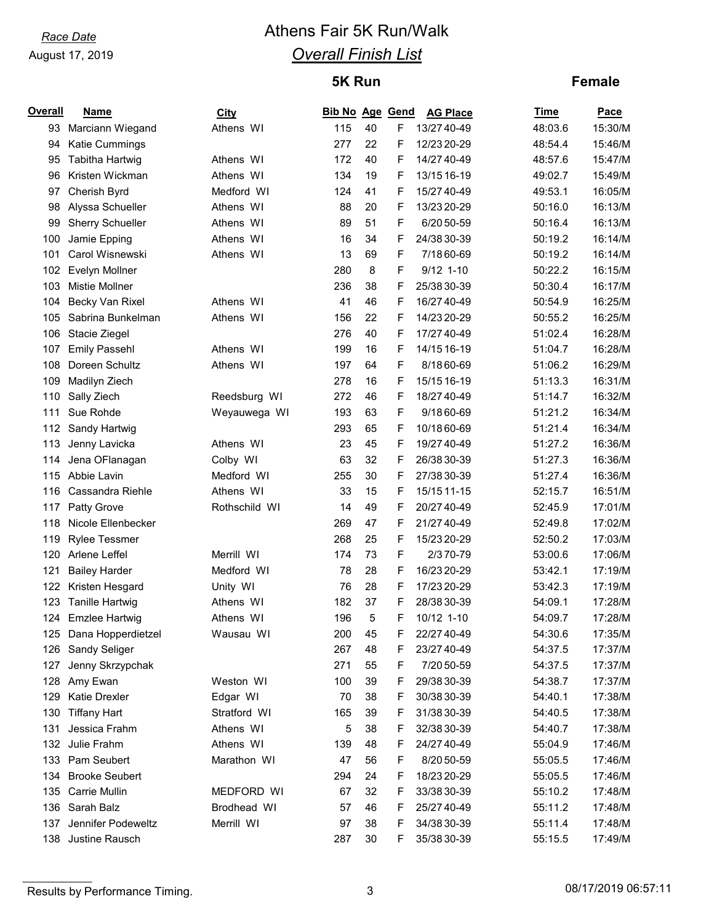# *Race Date* **Athens Fair 5K Run/Walk** *Overall Finish List*

## **5K Run**

#### **Female**

| <b>Overall</b> | Name                    | <b>City</b>   | <b>Bib No Age Gend</b> |        |    | <b>AG Place</b> | Time    | <u>Pace</u> |
|----------------|-------------------------|---------------|------------------------|--------|----|-----------------|---------|-------------|
| 93             | Marciann Wiegand        | Athens WI     | 115                    | 40     | F  | 13/27 40-49     | 48:03.6 | 15:30/M     |
| 94             | Katie Cummings          |               | 277                    | 22     | F  | 12/23 20-29     | 48:54.4 | 15:46/M     |
| 95             | Tabitha Hartwig         | Athens WI     | 172                    | 40     | F  | 14/27 40-49     | 48:57.6 | 15:47/M     |
| 96             | Kristen Wickman         | Athens WI     | 134                    | 19     | F  | 13/15 16-19     | 49:02.7 | 15:49/M     |
| 97             | Cherish Byrd            | Medford WI    | 124                    | 41     | F  | 15/27 40-49     | 49:53.1 | 16:05/M     |
| 98             | Alyssa Schueller        | Athens WI     | 88                     | 20     | F  | 13/23 20-29     | 50:16.0 | 16:13/M     |
| 99             | <b>Sherry Schueller</b> | Athens WI     | 89                     | 51     | F  | 6/20 50-59      | 50:16.4 | 16:13/M     |
| 100            | Jamie Epping            | Athens WI     | 16                     | 34     | F  | 24/38 30-39     | 50:19.2 | 16:14/M     |
| 101            | Carol Wisnewski         | Athens WI     | 13                     | 69     | F  | 7/18 60-69      | 50:19.2 | 16:14/M     |
| 102            | Evelyn Mollner          |               | 280                    | 8      | F  | $9/12$ 1-10     | 50:22.2 | 16:15/M     |
| 103            | <b>Mistie Mollner</b>   |               | 236                    | 38     | F  | 25/38 30-39     | 50:30.4 | 16:17/M     |
| 104            | Becky Van Rixel         | Athens WI     | 41                     | 46     | F  | 16/27 40-49     | 50:54.9 | 16:25/M     |
| 105            | Sabrina Bunkelman       | Athens WI     | 156                    | 22     | F  | 14/23 20-29     | 50:55.2 | 16:25/M     |
| 106            | Stacie Ziegel           |               | 276                    | 40     | F  | 17/27 40-49     | 51:02.4 | 16:28/M     |
| 107            | <b>Emily Passehl</b>    | Athens WI     | 199                    | 16     | F  | 14/15 16-19     | 51:04.7 | 16:28/M     |
| 108            | Doreen Schultz          | Athens WI     | 197                    | 64     | F  | 8/18 60-69      | 51:06.2 | 16:29/M     |
| 109            | Madilyn Ziech           |               | 278                    | 16     | F  | 15/15 16-19     | 51:13.3 | 16:31/M     |
| 110            | Sally Ziech             | Reedsburg WI  | 272                    | 46     | F  | 18/27 40-49     | 51:14.7 | 16:32/M     |
| 111            | Sue Rohde               | Weyauwega WI  | 193                    | 63     | F  | 9/18 60-69      | 51:21.2 | 16:34/M     |
| 112            | Sandy Hartwig           |               | 293                    | 65     | F  | 10/18 60-69     | 51:21.4 | 16:34/M     |
| 113            | Jenny Lavicka           | Athens WI     | 23                     | 45     | F  | 19/27 40-49     | 51:27.2 | 16:36/M     |
| 114            | Jena OFlanagan          | Colby WI      | 63                     | 32     | F  | 26/38 30-39     | 51:27.3 | 16:36/M     |
| 115            | Abbie Lavin             | Medford WI    | 255                    | 30     | F  | 27/38 30-39     | 51:27.4 | 16:36/M     |
| 116            | Cassandra Riehle        | Athens WI     | 33                     | 15     | F  | 15/15 11-15     | 52:15.7 | 16:51/M     |
| 117            | Patty Grove             | Rothschild WI | 14                     | 49     | F  | 20/27 40-49     | 52:45.9 | 17:01/M     |
| 118            | Nicole Ellenbecker      |               | 269                    | 47     | F  | 21/27 40-49     | 52:49.8 | 17:02/M     |
| 119            | <b>Rylee Tessmer</b>    |               | 268                    | 25     | F  | 15/23 20-29     | 52:50.2 | 17:03/M     |
| 120            | Arlene Leffel           | Merrill WI    | 174                    | 73     | F  | 2/370-79        | 53:00.6 | 17:06/M     |
| 121            | <b>Bailey Harder</b>    | Medford WI    | 78                     | 28     | F  | 16/23 20-29     | 53:42.1 | 17:19/M     |
| 122            | Kristen Hesgard         | Unity WI      | 76                     | 28     | F  | 17/23 20-29     | 53:42.3 | 17:19/M     |
| 123            | <b>Tanille Hartwig</b>  | Athens WI     | 182                    | 37     | F  | 28/38 30-39     | 54:09.1 | 17:28/M     |
| 124            | <b>Emzlee Hartwig</b>   | Athens WI     | 196                    | 5      | F  | 10/12 1-10      | 54:09.7 | 17:28/M     |
| 125            | Dana Hopperdietzel      | Wausau WI     | 200                    | 45     | F  | 22/27 40-49     | 54:30.6 | 17:35/M     |
| 126            | Sandy Seliger           |               | 267                    | 48     | F  | 23/27 40-49     | 54:37.5 | 17:37/M     |
| 127            | Jenny Skrzypchak        |               | 271                    | 55     | F  | 7/20 50-59      | 54:37.5 | 17:37/M     |
| 128            | Amy Ewan                | Weston WI     | 100                    | 39     | F  | 29/38 30-39     | 54:38.7 | 17:37/M     |
| 129            | <b>Katie Drexler</b>    | Edgar WI      | 70                     | 38     | F  | 30/38 30-39     | 54:40.1 | 17:38/M     |
| 130            | <b>Tiffany Hart</b>     | Stratford WI  | 165                    | 39     | F  | 31/38 30-39     | 54:40.5 | 17:38/M     |
| 131            | Jessica Frahm           | Athens WI     | 5                      | 38     | F  | 32/38 30-39     | 54:40.7 | 17:38/M     |
| 132            | Julie Frahm             | Athens WI     | 139                    | 48     | F  | 24/27 40-49     | 55:04.9 | 17:46/M     |
| 133            | Pam Seubert             | Marathon WI   | 47                     | 56     | F  | 8/20 50-59      | 55:05.5 | 17:46/M     |
| 134            | <b>Brooke Seubert</b>   |               | 294                    | 24     | F  | 18/23 20-29     | 55:05.5 | 17:46/M     |
| 135            | Carrie Mullin           | MEDFORD WI    | 67                     | 32     | F  | 33/38 30-39     | 55:10.2 | 17:48/M     |
| 136            | Sarah Balz              | Brodhead WI   | 57                     | 46     | F  | 25/27 40-49     | 55:11.2 | 17:48/M     |
| 137            | Jennifer Podeweltz      | Merrill WI    | 97                     | 38     | F  | 34/38 30-39     | 55:11.4 | 17:48/M     |
| 138            | Justine Rausch          |               | 287                    | $30\,$ | F. | 35/38 30-39     | 55:15.5 | 17:49/M     |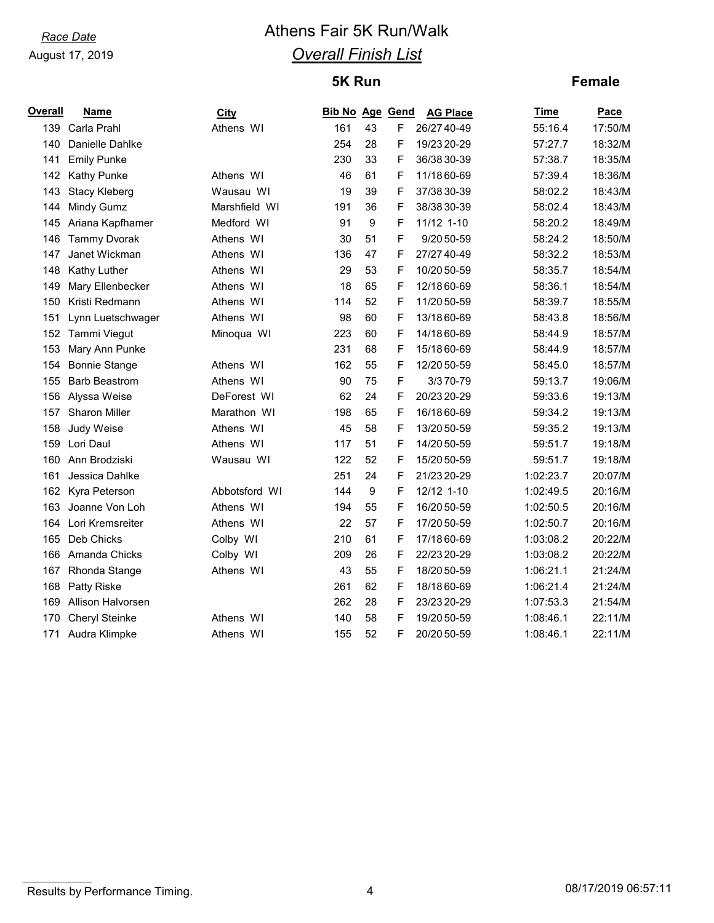# *Race Date* **Athens Fair 5K Run/Walk** *Overall Finish List*

# **5K Run**

#### **Female**

| Name                 | City          |     |    |   | <b>AG Place</b> | <b>Time</b>                                                                                                                                                                                 | Pace    |
|----------------------|---------------|-----|----|---|-----------------|---------------------------------------------------------------------------------------------------------------------------------------------------------------------------------------------|---------|
| 139 Carla Prahl      | Athens WI     | 161 | 43 | F |                 | 55:16.4                                                                                                                                                                                     | 17:50/M |
| Danielle Dahlke      |               | 254 | 28 | F | 19/23 20-29     | 57:27.7                                                                                                                                                                                     | 18:32/M |
| <b>Emily Punke</b>   |               | 230 | 33 | F |                 | 57:38.7                                                                                                                                                                                     | 18:35/M |
| <b>Kathy Punke</b>   | Athens WI     | 46  | 61 | F | 11/18 60-69     | 57:39.4                                                                                                                                                                                     | 18:36/M |
| <b>Stacy Kleberg</b> | Wausau WI     | 19  | 39 | F |                 | 58:02.2                                                                                                                                                                                     | 18:43/M |
| Mindy Gumz           | Marshfield WI | 191 | 36 | F | 38/38 30-39     | 58:02.4                                                                                                                                                                                     | 18:43/M |
| 145 Ariana Kapfhamer | Medford WI    | 91  | 9  | F | 11/12 1-10      | 58:20.2                                                                                                                                                                                     | 18:49/M |
| <b>Tammy Dvorak</b>  | Athens WI     | 30  | 51 | F | 9/20 50-59      | 58:24.2                                                                                                                                                                                     | 18:50/M |
| Janet Wickman        | Athens WI     | 136 | 47 | F |                 | 58:32.2                                                                                                                                                                                     | 18:53/M |
| Kathy Luther         | Athens WI     | 29  | 53 | F | 10/20 50-59     | 58:35.7                                                                                                                                                                                     | 18:54/M |
| Mary Ellenbecker     | Athens WI     | 18  | 65 | F | 12/18 60-69     | 58:36.1                                                                                                                                                                                     | 18:54/M |
| Kristi Redmann       | Athens WI     | 114 | 52 | F | 11/20 50-59     | 58:39.7                                                                                                                                                                                     | 18:55/M |
| Lynn Luetschwager    | Athens WI     | 98  | 60 | F | 13/18 60-69     | 58:43.8                                                                                                                                                                                     | 18:56/M |
| 152 Tammi Viegut     | Minoqua WI    | 223 | 60 | F | 14/18 60-69     | 58:44.9                                                                                                                                                                                     | 18:57/M |
| Mary Ann Punke       |               | 231 | 68 | F | 15/18 60-69     | 58:44.9                                                                                                                                                                                     | 18:57/M |
| <b>Bonnie Stange</b> | Athens WI     | 162 | 55 | F | 12/20 50-59     | 58:45.0                                                                                                                                                                                     | 18:57/M |
| <b>Barb Beastrom</b> | Athens WI     | 90  | 75 | F | 3/370-79        | 59:13.7                                                                                                                                                                                     | 19:06/M |
| Alyssa Weise         | DeForest WI   | 62  | 24 | F |                 | 59:33.6                                                                                                                                                                                     | 19:13/M |
| Sharon Miller        | Marathon WI   | 198 | 65 | F | 16/18 60-69     | 59:34.2                                                                                                                                                                                     | 19:13/M |
| Judy Weise           | Athens WI     | 45  | 58 | F | 13/20 50-59     | 59:35.2                                                                                                                                                                                     | 19:13/M |
| Lori Daul            | Athens WI     | 117 | 51 | F | 14/20 50-59     | 59:51.7                                                                                                                                                                                     | 19:18/M |
| Ann Brodziski        | Wausau WI     | 122 | 52 | F | 15/20 50-59     | 59:51.7                                                                                                                                                                                     | 19:18/M |
| Jessica Dahlke       |               | 251 | 24 | F |                 | 1:02:23.7                                                                                                                                                                                   | 20:07/M |
| Kyra Peterson        | Abbotsford WI | 144 | 9  | F | 12/12 1-10      | 1:02:49.5                                                                                                                                                                                   | 20:16/M |
| Joanne Von Loh       | Athens WI     | 194 | 55 | F |                 | 1:02:50.5                                                                                                                                                                                   | 20:16/M |
| Lori Kremsreiter     | Athens WI     | 22  | 57 | F |                 | 1:02:50.7                                                                                                                                                                                   | 20:16/M |
| Deb Chicks           | Colby WI      | 210 | 61 | F | 17/18 60-69     | 1:03:08.2                                                                                                                                                                                   | 20:22/M |
| Amanda Chicks        | Colby WI      | 209 | 26 | F |                 | 1:03:08.2                                                                                                                                                                                   | 20:22/M |
| Rhonda Stange        | Athens WI     | 43  | 55 | F | 18/20 50-59     | 1:06:21.1                                                                                                                                                                                   | 21:24/M |
| Patty Riske          |               | 261 | 62 | F | 18/18 60-69     | 1:06:21.4                                                                                                                                                                                   | 21:24/M |
| Allison Halvorsen    |               | 262 | 28 | F |                 | 1:07:53.3                                                                                                                                                                                   | 21:54/M |
| Cheryl Steinke       | Athens WI     | 140 | 58 | F | 19/20 50-59     | 1:08:46.1                                                                                                                                                                                   | 22:11/M |
| Audra Klimpke        | Athens WI     | 155 | 52 | F |                 | 1:08:46.1                                                                                                                                                                                   | 22:11/M |
|                      |               |     |    |   |                 | <b>Bib No Age Gend</b><br>26/27 40-49<br>36/38 30-39<br>37/38 30-39<br>27/27 40-49<br>20/23 20-29<br>21/23 20-29<br>16/20 50-59<br>17/20 50-59<br>22/23 20-29<br>23/23 20-29<br>20/20 50-59 |         |

## Results by Performance Timing. The same control of the set of the set of the set of the ST of the ST.11 and the ST of the ST of the ST of the ST of the ST of the ST of the ST of the ST of the ST of the ST of the ST of the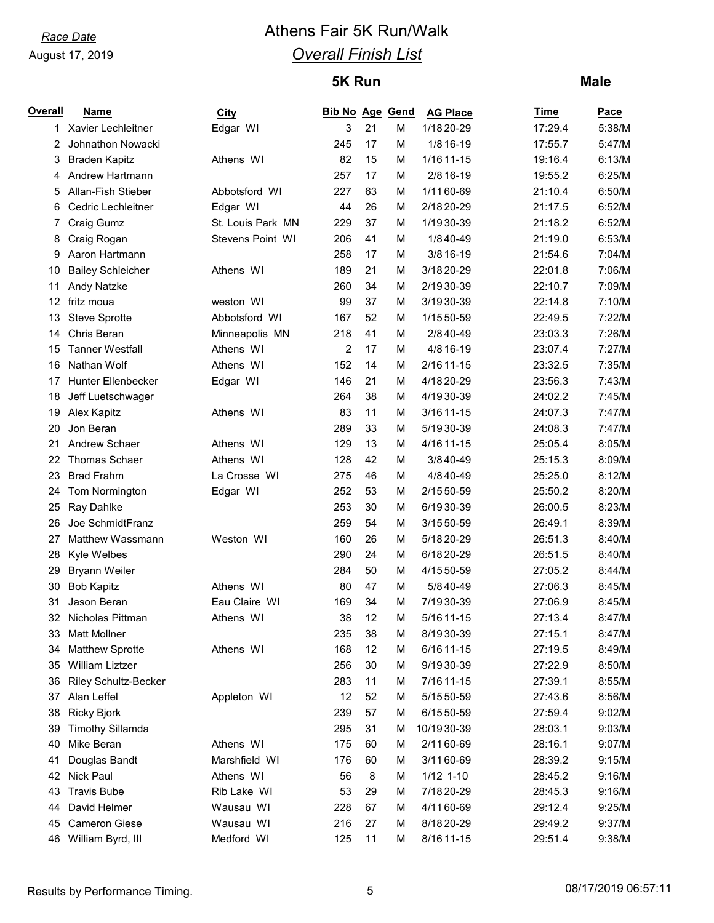# *Race Date* **Athens Fair 5K Run/Walk** *Overall Finish List*

## **5K Run**

#### **Male**

| <b>Overall</b> | <b>Name</b>                 | <b>City</b>       | <b>Bib No Age Gend</b> |    |   | <b>AG Place</b> | Time    | Pace   |
|----------------|-----------------------------|-------------------|------------------------|----|---|-----------------|---------|--------|
| 1.             | Xavier Lechleitner          | Edgar WI          | 3                      | 21 | M | 1/18 20-29      | 17:29.4 | 5:38/M |
| 2              | Johnathon Nowacki           |                   | 245                    | 17 | M | 1/8 16-19       | 17:55.7 | 5:47/M |
| 3              | <b>Braden Kapitz</b>        | Athens WI         | 82                     | 15 | M | 1/16 11-15      | 19:16.4 | 6:13/M |
| 4              | Andrew Hartmann             |                   | 257                    | 17 | M | 2/8 16-19       | 19:55.2 | 6:25/M |
| 5              | Allan-Fish Stieber          | Abbotsford WI     | 227                    | 63 | M | 1/11 60-69      | 21:10.4 | 6:50/M |
| 6              | Cedric Lechleitner          | Edgar WI          | 44                     | 26 | M | 2/18 20-29      | 21:17.5 | 6:52/M |
| 7              | Craig Gumz                  | St. Louis Park MN | 229                    | 37 | M | 1/19 30-39      | 21:18.2 | 6:52/M |
| 8              | Craig Rogan                 | Stevens Point WI  | 206                    | 41 | M | 1/8 40-49       | 21:19.0 | 6:53/M |
| 9              | Aaron Hartmann              |                   | 258                    | 17 | M | 3/8 16-19       | 21:54.6 | 7:04/M |
| 10             | <b>Bailey Schleicher</b>    | Athens WI         | 189                    | 21 | M | 3/18 20-29      | 22:01.8 | 7:06/M |
| 11             | <b>Andy Natzke</b>          |                   | 260                    | 34 | M | 2/1930-39       | 22:10.7 | 7:09/M |
| 12             | fritz moua                  | weston WI         | 99                     | 37 | M | 3/1930-39       | 22:14.8 | 7:10/M |
| 13             | Steve Sprotte               | Abbotsford WI     | 167                    | 52 | M | 1/15 50-59      | 22:49.5 | 7:22/M |
| 14             | Chris Beran                 | Minneapolis MN    | 218                    | 41 | M | 2/8 40-49       | 23:03.3 | 7:26/M |
| 15             | <b>Tanner Westfall</b>      | Athens WI         | $\overline{c}$         | 17 | M | 4/8 16-19       | 23:07.4 | 7:27/M |
| 16             | Nathan Wolf                 | Athens WI         | 152                    | 14 | М | 2/16 11-15      | 23:32.5 | 7:35/M |
| 17             | Hunter Ellenbecker          | Edgar WI          | 146                    | 21 | M | 4/18 20-29      | 23:56.3 | 7:43/M |
| 18             | Jeff Luetschwager           |                   | 264                    | 38 | M | 4/1930-39       | 24:02.2 | 7:45/M |
| 19             | Alex Kapitz                 | Athens WI         | 83                     | 11 | M | 3/16 11-15      | 24:07.3 | 7:47/M |
| 20             | Jon Beran                   |                   | 289                    | 33 | M | 5/1930-39       | 24:08.3 | 7:47/M |
| 21             | Andrew Schaer               | Athens WI         | 129                    | 13 | M | 4/16 11-15      | 25:05.4 | 8:05/M |
| 22             | <b>Thomas Schaer</b>        | Athens WI         | 128                    | 42 | M | 3/8 40-49       | 25:15.3 | 8:09/M |
| 23             | <b>Brad Frahm</b>           | La Crosse WI      | 275                    | 46 | M | 4/8 40-49       | 25:25.0 | 8:12/M |
| 24             | Tom Normington              | Edgar WI          | 252                    | 53 | M | 2/15 50-59      | 25:50.2 | 8:20/M |
| 25             | Ray Dahlke                  |                   | 253                    | 30 | M | 6/1930-39       | 26:00.5 | 8:23/M |
| 26             | Joe SchmidtFranz            |                   | 259                    | 54 | M | 3/15 50-59      | 26:49.1 | 8:39/M |
| 27             | Matthew Wassmann            | Weston WI         | 160                    | 26 | M | 5/18 20-29      | 26:51.3 | 8:40/M |
| 28             | Kyle Welbes                 |                   | 290                    | 24 | M | 6/18 20-29      | 26:51.5 | 8:40/M |
| 29             | <b>Bryann Weiler</b>        |                   | 284                    | 50 | M | 4/15 50-59      | 27:05.2 | 8:44/M |
| 30             | <b>Bob Kapitz</b>           | Athens WI         | 80                     | 47 | M | 5/8 40-49       | 27:06.3 | 8:45/M |
| 31             | Jason Beran                 | Eau Claire WI     | 169                    | 34 | М | 7/19 30-39      | 27:06.9 | 8:45/M |
| 32             | Nicholas Pittman            | Athens WI         | 38                     | 12 | М | 5/16 11-15      | 27:13.4 | 8:47/M |
| 33             | <b>Matt Mollner</b>         |                   | 235                    | 38 | M | 8/1930-39       | 27:15.1 | 8:47/M |
| 34             | <b>Matthew Sprotte</b>      | Athens WI         | 168                    | 12 | M | 6/16 11-15      | 27:19.5 | 8:49/M |
| 35             | William Liztzer             |                   | 256                    | 30 | M | 9/19 30-39      | 27:22.9 | 8:50/M |
| 36             | <b>Riley Schultz-Becker</b> |                   | 283                    | 11 | M | 7/16 11-15      | 27:39.1 | 8:55/M |
| 37             | Alan Leffel                 | Appleton WI       | 12                     | 52 | M | 5/15 50-59      | 27:43.6 | 8:56/M |
| 38             | Ricky Bjork                 |                   | 239                    | 57 | M | 6/15 50-59      | 27:59.4 | 9:02/M |
| 39             | <b>Timothy Sillamda</b>     |                   | 295                    | 31 | М | 10/1930-39      | 28:03.1 | 9:03/M |
| 40             | Mike Beran                  | Athens WI         | 175                    | 60 | M | 2/1160-69       | 28:16.1 | 9:07/M |
| 41             | Douglas Bandt               | Marshfield WI     | 176                    | 60 | M | 3/1160-69       | 28:39.2 | 9:15/M |
| 42             | Nick Paul                   | Athens WI         | 56                     | 8  | M | $1/12$ 1-10     | 28:45.2 | 9:16/M |
| 43             | <b>Travis Bube</b>          | Rib Lake WI       | 53                     | 29 | М | 7/18 20-29      | 28:45.3 | 9:16/M |
| 44             | David Helmer                | Wausau WI         | 228                    | 67 | M | 4/1160-69       | 29:12.4 | 9:25/M |
| 45             | <b>Cameron Giese</b>        | Wausau WI         | 216                    | 27 | M | 8/18 20-29      | 29:49.2 | 9:37/M |
| 46             | William Byrd, III           | Medford WI        | 125                    | 11 | M | 8/16 11-15      | 29:51.4 | 9:38/M |

Results by Performance Timing. The state of the state of the state of the Secults by Performance Timing.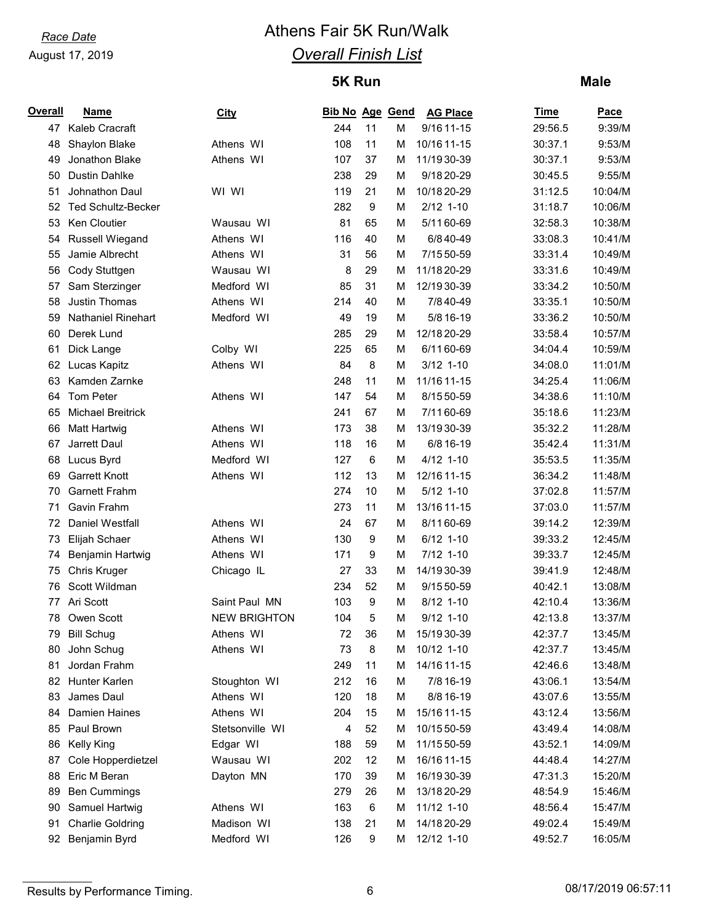# *Race Date* **Athens Fair 5K Run/Walk** *Overall Finish List*

## **5K Run**

#### **Male**

| <b>Overall</b> | <b>Name</b>               | <u>City</u>         | Bib No Age Gend |                  |   | <b>AG Place</b> | <b>Time</b> | Pace    |
|----------------|---------------------------|---------------------|-----------------|------------------|---|-----------------|-------------|---------|
|                | 47 Kaleb Cracraft         |                     | 244             | 11               | M | 9/16 11-15      | 29:56.5     | 9:39/M  |
| 48             | Shaylon Blake             | Athens WI           | 108             | 11               | M | 10/16 11-15     | 30:37.1     | 9:53/M  |
| 49             | Jonathon Blake            | Athens WI           | 107             | 37               | M | 11/19 30-39     | 30:37.1     | 9:53/M  |
| 50             | <b>Dustin Dahlke</b>      |                     | 238             | 29               | M | 9/18 20-29      | 30:45.5     | 9:55/M  |
| 51             | Johnathon Daul            | WI WI               | 119             | 21               | M | 10/18 20-29     | 31:12.5     | 10:04/M |
| 52             | <b>Ted Schultz-Becker</b> |                     | 282             | $9\,$            | M | $2/12$ 1-10     | 31:18.7     | 10:06/M |
| 53             | Ken Cloutier              | Wausau WI           | 81              | 65               | M | 5/1160-69       | 32:58.3     | 10:38/M |
| 54             | <b>Russell Wiegand</b>    | Athens WI           | 116             | 40               | M | 6/8 40-49       | 33:08.3     | 10:41/M |
| 55             | Jamie Albrecht            | Athens WI           | 31              | 56               | M | 7/15 50-59      | 33:31.4     | 10:49/M |
| 56             | Cody Stuttgen             | Wausau WI           | 8               | 29               | M | 11/18 20-29     | 33:31.6     | 10:49/M |
| 57             | Sam Sterzinger            | Medford WI          | 85              | 31               | M | 12/19 30-39     | 33:34.2     | 10:50/M |
| 58             | <b>Justin Thomas</b>      | Athens WI           | 214             | 40               | M | 7/8 40-49       | 33:35.1     | 10:50/M |
| 59             | <b>Nathaniel Rinehart</b> | Medford WI          | 49              | 19               | M | 5/8 16-19       | 33:36.2     | 10:50/M |
| 60             | Derek Lund                |                     | 285             | 29               | M | 12/18 20-29     | 33:58.4     | 10:57/M |
| 61             | Dick Lange                | Colby WI            | 225             | 65               | M | 6/1160-69       | 34:04.4     | 10:59/M |
| 62             | Lucas Kapitz              | Athens WI           | 84              | 8                | M | $3/12$ 1-10     | 34:08.0     | 11:01/M |
| 63             | Kamden Zarnke             |                     | 248             | 11               | M | 11/16 11-15     | 34:25.4     | 11:06/M |
| 64             | Tom Peter                 | Athens WI           | 147             | 54               | M | 8/15 50-59      | 34:38.6     | 11:10/M |
| 65             | <b>Michael Breitrick</b>  |                     | 241             | 67               | M | 7/11 60-69      | 35:18.6     | 11:23/M |
| 66             | Matt Hartwig              | Athens WI           | 173             | 38               | M | 13/19 30-39     | 35:32.2     | 11:28/M |
| 67             | Jarrett Daul              | Athens WI           | 118             | 16               | M | 6/8 16-19       | 35:42.4     | 11:31/M |
| 68             | Lucus Byrd                | Medford WI          | 127             | 6                | M | $4/12$ 1-10     | 35:53.5     | 11:35/M |
| 69             | <b>Garrett Knott</b>      | Athens WI           | 112             | 13               | M | 12/16 11-15     | 36:34.2     | 11:48/M |
| 70             | <b>Garnett Frahm</b>      |                     | 274             | 10               | M | $5/12$ 1-10     | 37:02.8     | 11:57/M |
| 71             | Gavin Frahm               |                     | 273             | 11               | М | 13/16 11-15     | 37:03.0     | 11:57/M |
| 72             | Daniel Westfall           | Athens WI           | 24              | 67               | M | 8/1160-69       | 39:14.2     | 12:39/M |
| 73             | Elijah Schaer             | Athens WI           | 130             | $\boldsymbol{9}$ | M | $6/12$ 1-10     | 39:33.2     | 12:45/M |
| 74             | Benjamin Hartwig          | Athens WI           | 171             | 9                | M | 7/12 1-10       | 39:33.7     | 12:45/M |
| 75             | Chris Kruger              | Chicago IL          | 27              | 33               | M | 14/1930-39      | 39:41.9     | 12:48/M |
| 76             | Scott Wildman             |                     | 234             | 52               | M | 9/15 50-59      | 40:42.1     | 13:08/M |
| 77             | Ari Scott                 | Saint Paul MN       | 103             | $9\,$            | M | 8/12 1-10       | 42:10.4     | 13:36/M |
| 78             | Owen Scott                | <b>NEW BRIGHTON</b> | 104             | 5                | M | $9/12$ 1-10     | 42:13.8     | 13:37/M |
| 79             | <b>Bill Schug</b>         | Athens WI           | 72              | 36               | м | 15/1930-39      | 42:37.7     | 13:45/M |
| 80             | John Schug                | Athens WI           | 73              | 8                | M | 10/12 1-10      | 42:37.7     | 13:45/M |
| 81             | Jordan Frahm              |                     | 249             | 11               | M | 14/16 11-15     | 42:46.6     | 13:48/M |
| 82             | Hunter Karlen             | Stoughton WI        | 212             | 16               | M | 7/8 16-19       | 43:06.1     | 13:54/M |
| 83             | James Daul                | Athens WI           | 120             | 18               | M | 8/8 16-19       | 43:07.6     | 13:55/M |
| 84             | Damien Haines             | Athens WI           | 204             | 15               | M | 15/16 11-15     | 43:12.4     | 13:56/M |
| 85             | Paul Brown                | Stetsonville WI     | 4               | 52               | M | 10/15 50-59     | 43:49.4     | 14:08/M |
| 86             | Kelly King                | Edgar WI            | 188             | 59               | M | 11/15 50-59     | 43:52.1     | 14:09/M |
| 87             | Cole Hopperdietzel        | Wausau WI           | 202             | 12               | M | 16/16 11-15     | 44:48.4     | 14:27/M |
| 88             | Eric M Beran              | Dayton MN           | 170             | 39               | M | 16/19 30-39     | 47:31.3     | 15:20/M |
| 89             | <b>Ben Cummings</b>       |                     | 279             | 26               | M | 13/18 20-29     | 48:54.9     | 15:46/M |
| 90             | Samuel Hartwig            | Athens WI           | 163             | $\,6\,$          | M | 11/12 1-10      | 48:56.4     | 15:47/M |
| 91             | <b>Charlie Goldring</b>   | Madison WI          | 138             | 21               | M | 14/18 20-29     | 49:02.4     | 15:49/M |
| 92             | Benjamin Byrd             | Medford WI          | 126             | $\boldsymbol{9}$ | М | 12/12 1-10      | 49:52.7     | 16:05/M |